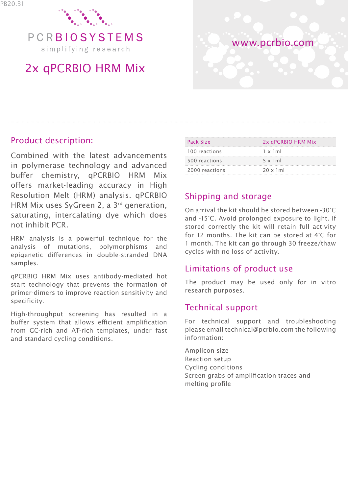

PCRBIOSYSTEMS simplifying research

# 2x qPCRBIO HRM Mix



### Product description:

Combined with the latest advancements in polymerase technology and advanced buffer chemistry, qPCRBIO HRM Mix offers market-leading accuracy in High Resolution Melt (HRM) analysis. qPCRBIO HRM Mix uses SyGreen 2, a 3<sup>rd</sup> generation, saturating, intercalating dye which does not inhibit PCR.

HRM analysis is a powerful technique for the analysis of mutations, polymorphisms and epigenetic differences in double-stranded DNA samples.

qPCRBIO HRM Mix uses antibody-mediated hot start technology that prevents the formation of primer-dimers to improve reaction sensitivity and specificity.

High-throughput screening has resulted in a buffer system that allows efficient amplification from GC-rich and AT-rich templates, under fast and standard cycling conditions.

| Pack Size      | 2x aPCRBIO HRM Mix |
|----------------|--------------------|
| 100 reactions  | $1 \times 1$ ml    |
| 500 reactions  | $5 \times 1$ ml    |
| 2000 reactions | $20 \times 1$ ml   |

## Shipping and storage

On arrival the kit should be stored between -30°C and -15°C. Avoid prolonged exposure to light. If stored correctly the kit will retain full activity for 12 months. The kit can be stored at 4°C for 1 month. The kit can go through 30 freeze/thaw cycles with no loss of activity.

### Limitations of product use

The product may be used only for in vitro research purposes.

### Technical support

For technical support and troubleshooting please email technical@pcrbio.com the following information:

Amplicon size Reaction setup Cycling conditions Screen grabs of amplification traces and melting profile